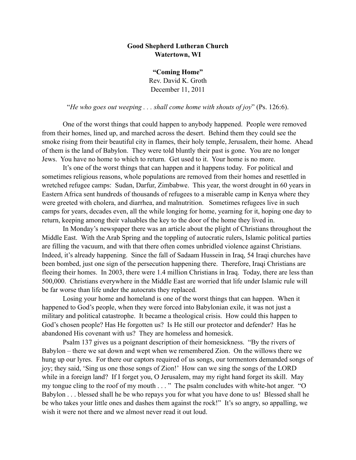## **Good Shepherd Lutheran Church Watertown, WI**

**"Coming Home"** Rev. David K. Groth December 11, 2011

"*He who goes out weeping . . . shall come home with shouts of joy*" (Ps. 126:6).

 One of the worst things that could happen to anybody happened. People were removed from their homes, lined up, and marched across the desert. Behind them they could see the smoke rising from their beautiful city in flames, their holy temple, Jerusalem, their home. Ahead of them is the land of Babylon. They were told bluntly their past is gone. You are no longer Jews. You have no home to which to return. Get used to it. Your home is no more.

 It's one of the worst things that can happen and it happens today. For political and sometimes religious reasons, whole populations are removed from their homes and resettled in wretched refugee camps: Sudan, Darfur, Zimbabwe. This year, the worst drought in 60 years in Eastern Africa sent hundreds of thousands of refugees to a miserable camp in Kenya where they were greeted with cholera, and diarrhea, and malnutrition. Sometimes refugees live in such camps for years, decades even, all the while longing for home, yearning for it, hoping one day to return, keeping among their valuables the key to the door of the home they lived in.

 In Monday's newspaper there was an article about the plight of Christians throughout the Middle East. With the Arab Spring and the toppling of autocratic rulers, Islamic political parties are filling the vacuum, and with that there often comes unbridled violence against Christians. Indeed, it's already happening. Since the fall of Sadaam Hussein in Iraq, 54 Iraqi churches have been bombed, just one sign of the persecution happening there. Therefore, Iraqi Christians are fleeing their homes. In 2003, there were 1.4 million Christians in Iraq. Today, there are less than 500,000. Christians everywhere in the Middle East are worried that life under Islamic rule will be far worse than life under the autocrats they replaced.

 Losing your home and homeland is one of the worst things that can happen. When it happened to God's people, when they were forced into Babylonian exile, it was not just a military and political catastrophe. It became a theological crisis. How could this happen to God's chosen people? Has He forgotten us? Is He still our protector and defender? Has he abandoned His covenant with us? They are homeless and homesick.

 Psalm 137 gives us a poignant description of their homesickness. "By the rivers of Babylon – there we sat down and wept when we remembered Zion. On the willows there we hung up our lyres. For there our captors required of us songs, our tormentors demanded songs of joy; they said, 'Sing us one those songs of Zion!' How can we sing the songs of the LORD while in a foreign land? If I forget you, O Jerusalem, may my right hand forget its skill. May my tongue cling to the roof of my mouth . . . " The psalm concludes with white-hot anger. "O Babylon . . . blessed shall he be who repays you for what you have done to us! Blessed shall he be who takes your little ones and dashes them against the rock!" It's so angry, so appalling, we wish it were not there and we almost never read it out loud.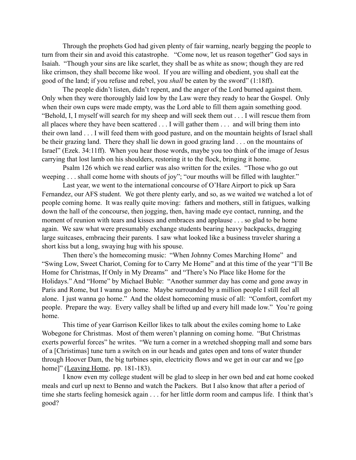Through the prophets God had given plenty of fair warning, nearly begging the people to turn from their sin and avoid this catastrophe. "Come now, let us reason together" God says in Isaiah. "Though your sins are like scarlet, they shall be as white as snow; though they are red like crimson, they shall become like wool. If you are willing and obedient, you shall eat the good of the land; if you refuse and rebel, you *shall* be eaten by the sword" (1:18ff).

 The people didn't listen, didn't repent, and the anger of the Lord burned against them. Only when they were thoroughly laid low by the Law were they ready to hear the Gospel. Only when their own cups were made empty, was the Lord able to fill them again something good. "Behold, I, I myself will search for my sheep and will seek them out . . . I will rescue them from all places where they have been scattered . . . I will gather them . . . and will bring them into their own land . . . I will feed them with good pasture, and on the mountain heights of Israel shall be their grazing land. There they shall lie down in good grazing land . . . on the mountains of Israel" (Ezek. 34:11ff). When you hear those words, maybe you too think of the image of Jesus carrying that lost lamb on his shoulders, restoring it to the flock, bringing it home.

 Psalm 126 which we read earlier was also written for the exiles. "Those who go out weeping . . . shall come home with shouts of joy"; "our mouths will be filled with laughter."

 Last year, we went to the international concourse of O'Hare Airport to pick up Sara Fernandez, our AFS student. We got there plenty early, and so, as we waited we watched a lot of people coming home. It was really quite moving: fathers and mothers, still in fatigues, walking down the hall of the concourse, then jogging, then, having made eye contact, running, and the moment of reunion with tears and kisses and embraces and applause . . . so glad to be home again. We saw what were presumably exchange students bearing heavy backpacks, dragging large suitcases, embracing their parents. I saw what looked like a business traveler sharing a short kiss but a long, swaying hug with his spouse.

Then there's the homecoming music: "When Johnny Comes Marching Home" and "Swing Low, Sweet Chariot, Coming for to Carry Me Home" and at this time of the year "I'll Be Home for Christmas, If Only in My Dreams" and "There's No Place like Home for the Holidays." And "Home" by Michael Buble: "Another summer day has come and gone away in Paris and Rome, but I wanna go home. Maybe surrounded by a million people I still feel all alone. I just wanna go home." And the oldest homecoming music of all: "Comfort, comfort my people. Prepare the way. Every valley shall be lifted up and every hill made low." You're going home.

 This time of year Garrison Keillor likes to talk about the exiles coming home to Lake Wobegone for Christmas. Most of them weren't planning on coming home. "But Christmas exerts powerful forces" he writes. "We turn a corner in a wretched shopping mall and some bars of a [Christimas] tune turn a switch on in our heads and gates open and tons of water thunder through Hoover Dam, the big turbines spin, electricity flows and we get in our car and we [go home]" (Leaving Home, pp. 181-183).

I know even my college student will be glad to sleep in her own bed and eat home cooked meals and curl up next to Benno and watch the Packers. But I also know that after a period of time she starts feeling homesick again . . . for her little dorm room and campus life. I think that's good?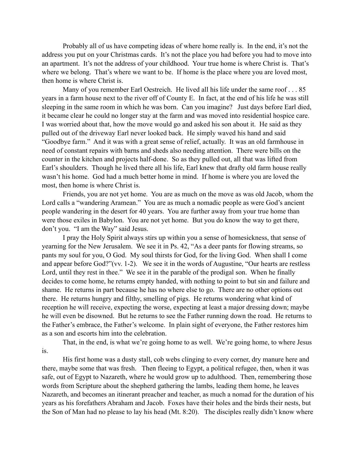Probably all of us have competing ideas of where home really is. In the end, it's not the address you put on your Christmas cards. It's not the place you had before you had to move into an apartment. It's not the address of your childhood. Your true home is where Christ is. That's where we belong. That's where we want to be. If home is the place where you are loved most, then home is where Christ is.

Many of you remember Earl Oestreich. He lived all his life under the same roof . . . 85 years in a farm house next to the river off of County E. In fact, at the end of his life he was still sleeping in the same room in which he was born. Can you imagine? Just days before Earl died, it became clear he could no longer stay at the farm and was moved into residential hospice care. I was worried about that, how the move would go and asked his son about it. He said as they pulled out of the driveway Earl never looked back. He simply waved his hand and said "Goodbye farm." And it was with a great sense of relief, actually. It was an old farmhouse in need of constant repairs with barns and sheds also needing attention. There were bills on the counter in the kitchen and projects half-done. So as they pulled out, all that was lifted from Earl's shoulders. Though he lived there all his life, Earl knew that drafty old farm house really wasn't his home. God had a much better home in mind. If home is where you are loved the most, then home is where Christ is.

 Friends, you are not yet home. You are as much on the move as was old Jacob, whom the Lord calls a "wandering Aramean." You are as much a nomadic people as were God's ancient people wandering in the desert for 40 years. You are further away from your true home than were those exiles in Babylon. You are not yet home. But you do know the way to get there, don't you. "I am the Way" said Jesus.

I pray the Holy Spirit always stirs up within you a sense of homesickness, that sense of yearning for the New Jerusalem. We see it in Ps. 42, "As a deer pants for flowing streams, so pants my soul for you, O God. My soul thirsts for God, for the living God. When shall I come and appear before God?"(vv. 1-2). We see it in the words of Augustine, "Our hearts are restless Lord, until they rest in thee." We see it in the parable of the prodigal son. When he finally decides to come home, he returns empty handed, with nothing to point to but sin and failure and shame. He returns in part because he has no where else to go. There are no other options out there. He returns hungry and filthy, smelling of pigs. He returns wondering what kind of reception he will receive, expecting the worse, expecting at least a major dressing down; maybe he will even be disowned. But he returns to see the Father running down the road. He returns to the Father's embrace, the Father's welcome. In plain sight of everyone, the Father restores him as a son and escorts him into the celebration.

 That, in the end, is what we're going home to as well. We're going home, to where Jesus is.

 His first home was a dusty stall, cob webs clinging to every corner, dry manure here and there, maybe some that was fresh. Then fleeing to Egypt, a political refugee, then, when it was safe, out of Egypt to Nazareth, where he would grow up to adulthood. Then, remembering those words from Scripture about the shepherd gathering the lambs, leading them home, he leaves Nazareth, and becomes an itinerant preacher and teacher, as much a nomad for the duration of his years as his forefathers Abraham and Jacob. Foxes have their holes and the birds their nests, but the Son of Man had no please to lay his head (Mt. 8:20). The disciples really didn't know where